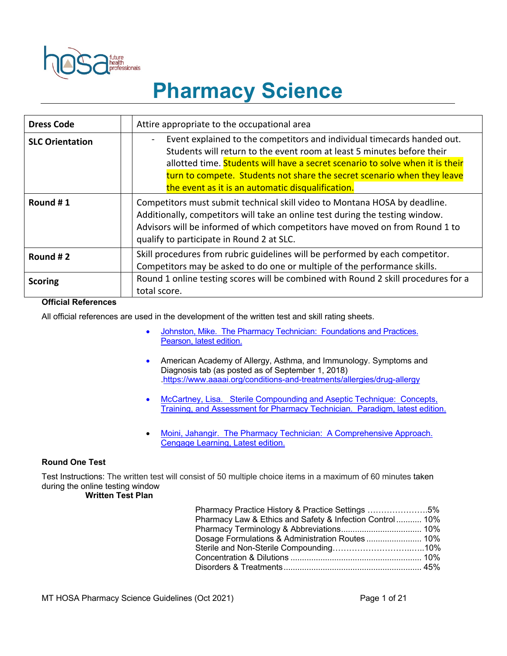

# **Pharmacy Science**

| <b>Dress Code</b>      | Attire appropriate to the occupational area                                                                                                                                                                                                                                                                                                                        |  |  |
|------------------------|--------------------------------------------------------------------------------------------------------------------------------------------------------------------------------------------------------------------------------------------------------------------------------------------------------------------------------------------------------------------|--|--|
| <b>SLC Orientation</b> | Event explained to the competitors and individual timecards handed out.<br>Students will return to the event room at least 5 minutes before their<br>allotted time. Students will have a secret scenario to solve when it is their<br>turn to compete. Students not share the secret scenario when they leave<br>the event as it is an automatic disqualification. |  |  |
| Round #1               | Competitors must submit technical skill video to Montana HOSA by deadline.<br>Additionally, competitors will take an online test during the testing window.<br>Advisors will be informed of which competitors have moved on from Round 1 to<br>qualify to participate in Round 2 at SLC.                                                                           |  |  |
| Round #2               | Skill procedures from rubric guidelines will be performed by each competitor.<br>Competitors may be asked to do one or multiple of the performance skills.                                                                                                                                                                                                         |  |  |
| <b>Scoring</b>         | Round 1 online testing scores will be combined with Round 2 skill procedures for a<br>total score.                                                                                                                                                                                                                                                                 |  |  |

#### **Official References**

All official references are used in the development of the written test and skill rating sheets.

- Johnston, Mike. The Pharmacy Technician: Foundations and Practices. Pearson, latest edition.
- American Academy of Allergy, Asthma, and Immunology. Symptoms and Diagnosis tab (as posted as of September 1, 2018) .https://www.aaaai.org/conditions-and-treatments/allergies/drug-allergy
- McCartney, Lisa. Sterile Compounding and Aseptic Technique: Concepts, Training, and Assessment for Pharmacy Technician. Paradigm, latest edition.
- Moini, Jahangir. The Pharmacy Technician: A Comprehensive Approach. Cengage Learning, Latest edition.

#### **Round One Test**

Test Instructions: The written test will consist of 50 multiple choice items in a maximum of 60 minutes taken during the online testing window

#### **Written Test Plan**

| Pharmacy Practice History & Practice Settings 5%         |  |
|----------------------------------------------------------|--|
| Pharmacy Law & Ethics and Safety & Infection Control 10% |  |
|                                                          |  |
|                                                          |  |
|                                                          |  |
|                                                          |  |
|                                                          |  |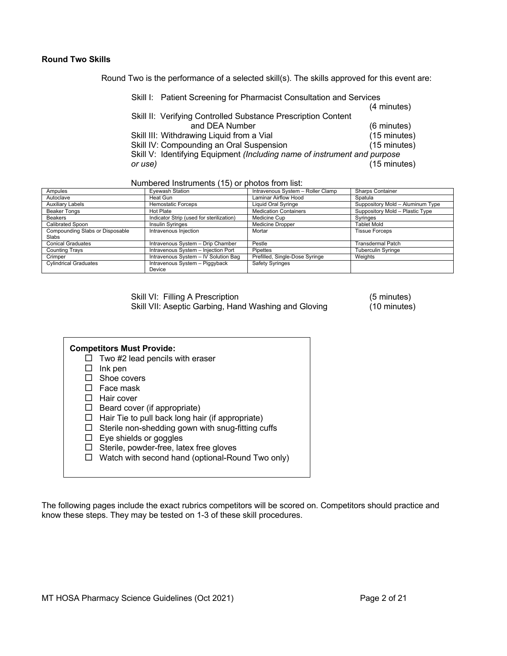#### **Round Two Skills**

Round Two is the performance of a selected skill(s). The skills approved for this event are:

| (4 minutes)<br>Skill II: Verifying Controlled Substance Prescription Content<br>and DEA Number<br>Skill III: Withdrawing Liquid from a Vial<br>Skill IV: Compounding an Oral Suspension<br>Skill V: Identifying Equipment (Including name of instrument and purpose<br>or use) | Skill I: Patient Screening for Pharmacist Consultation and Services |                        |
|--------------------------------------------------------------------------------------------------------------------------------------------------------------------------------------------------------------------------------------------------------------------------------|---------------------------------------------------------------------|------------------------|
|                                                                                                                                                                                                                                                                                |                                                                     |                        |
|                                                                                                                                                                                                                                                                                |                                                                     |                        |
|                                                                                                                                                                                                                                                                                |                                                                     | (6 minutes)            |
|                                                                                                                                                                                                                                                                                |                                                                     | (15 minutes)           |
|                                                                                                                                                                                                                                                                                |                                                                     | (15 minutes)           |
|                                                                                                                                                                                                                                                                                |                                                                     |                        |
|                                                                                                                                                                                                                                                                                |                                                                     | $(15 \text{ minutes})$ |

Numbered Instruments (15) or photos from list:

| Ampules                         | <b>Eyewash Station</b>                   | Intravenous System - Roller Clamp | Sharps Container                 |
|---------------------------------|------------------------------------------|-----------------------------------|----------------------------------|
| Autoclave                       | Heat Gun                                 | <b>Laminar Airflow Hood</b>       | Spatula                          |
| <b>Auxiliary Labels</b>         | <b>Hemostatic Forceps</b>                | Liquid Oral Syringe               | Suppository Mold - Aluminum Type |
| <b>Beaker Tongs</b>             | Hot Plate                                | <b>Medication Containers</b>      | Suppository Mold - Plastic Type  |
| <b>Beakers</b>                  | Indicator Strip (used for sterilization) | Medicine Cup                      | Syringes                         |
| Calibrated Spoon                | <b>Insulin Syringes</b>                  | <b>Medicine Dropper</b>           | Tablet Mold                      |
| Compounding Slabs or Disposable | Intravenous Injection                    | Mortar                            | <b>Tissue Forceps</b>            |
| Slabs                           |                                          |                                   |                                  |
| <b>Conical Graduates</b>        | Intravenous System - Drip Chamber        | Pestle                            | Transdermal Patch                |
| Counting Trays                  | Intravenous System - Injection Port      | Pipettes                          | Tuberculin Syringe               |
| Crimper                         | Intravenous System - IV Solution Bag     | Prefilled, Single-Dose Syringe    | Weights                          |
| <b>Cylindrical Graduates</b>    | Intravenous System - Piggyback           | <b>Safety Syringes</b>            |                                  |
|                                 | Device                                   |                                   |                                  |

Skill VI: Filling A Prescription<br>
Skill VII: Aseptic Garbing, Hand Washing and Gloving (10 minutes) Skill VII: Aseptic Garbing, Hand Washing and Gloving

| <b>Competitors Must Provide:</b><br>Two #2 lead pencils with eraser<br>Ink pen<br>Shoe covers<br>Face mask<br>Hair cover<br>Beard cover (if appropriate)<br>Hair Tie to pull back long hair (if appropriate)<br>Sterile non-shedding gown with snug-fitting cuffs<br>Eye shields or goggles<br>Sterile, powder-free, latex free gloves<br>Watch with second hand (optional-Round Two only) |
|--------------------------------------------------------------------------------------------------------------------------------------------------------------------------------------------------------------------------------------------------------------------------------------------------------------------------------------------------------------------------------------------|
|                                                                                                                                                                                                                                                                                                                                                                                            |

The following pages include the exact rubrics competitors will be scored on. Competitors should practice and know these steps. They may be tested on 1-3 of these skill procedures.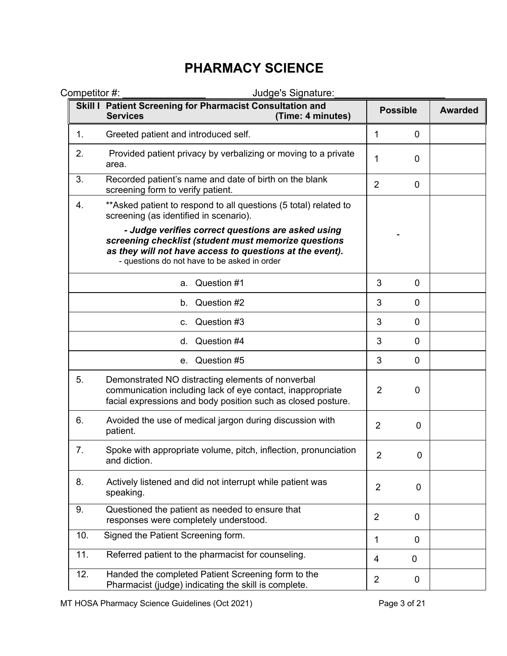| Competitor #: | Judge's Signature:                                                                                                                                                                                                     |                |                 |                |
|---------------|------------------------------------------------------------------------------------------------------------------------------------------------------------------------------------------------------------------------|----------------|-----------------|----------------|
|               | Skill I Patient Screening for Pharmacist Consultation and<br><b>Services</b><br>(Time: 4 minutes)                                                                                                                      |                | <b>Possible</b> | <b>Awarded</b> |
| 1.            | Greeted patient and introduced self.                                                                                                                                                                                   | 1              | 0               |                |
| 2.            | Provided patient privacy by verbalizing or moving to a private<br>area.                                                                                                                                                | 1              | 0               |                |
| 3.            | Recorded patient's name and date of birth on the blank<br>screening form to verify patient.                                                                                                                            | $\overline{2}$ | 0               |                |
| 4.            | ** Asked patient to respond to all questions (5 total) related to<br>screening (as identified in scenario).                                                                                                            |                |                 |                |
|               | - Judge verifies correct questions are asked using<br>screening checklist (student must memorize questions<br>as they will not have access to questions at the event).<br>- questions do not have to be asked in order |                |                 |                |
|               | Question #1<br>а.                                                                                                                                                                                                      | 3              | $\overline{0}$  |                |
|               | Question #2<br>b.                                                                                                                                                                                                      | 3              | $\overline{0}$  |                |
|               | Question #3<br>C.                                                                                                                                                                                                      | 3              | 0               |                |
|               | d. Question #4                                                                                                                                                                                                         | 3              | 0               |                |
|               | e. Question #5                                                                                                                                                                                                         | 3              | 0               |                |
| 5.            | Demonstrated NO distracting elements of nonverbal<br>communication including lack of eye contact, inappropriate<br>facial expressions and body position such as closed posture.                                        | 2              | $\mathbf 0$     |                |
| 6.            | Avoided the use of medical jargon during discussion with<br>patient.                                                                                                                                                   | $\overline{2}$ | 0               |                |
| 7.            | Spoke with appropriate volume, pitch, inflection, pronunciation<br>and diction.                                                                                                                                        | $\overline{2}$ | 0               |                |
| 8.            | Actively listened and did not interrupt while patient was<br>speaking.                                                                                                                                                 | $\overline{2}$ | $\overline{0}$  |                |
| 9.            | Questioned the patient as needed to ensure that<br>responses were completely understood.                                                                                                                               | $\overline{2}$ | $\mathbf 0$     |                |
| 10.           | Signed the Patient Screening form.                                                                                                                                                                                     | 1              | $\mathbf 0$     |                |
| 11.           | Referred patient to the pharmacist for counseling.                                                                                                                                                                     | 4              | 0               |                |
| 12.           | Handed the completed Patient Screening form to the<br>Pharmacist (judge) indicating the skill is complete.                                                                                                             | $\overline{2}$ | $\mathbf 0$     |                |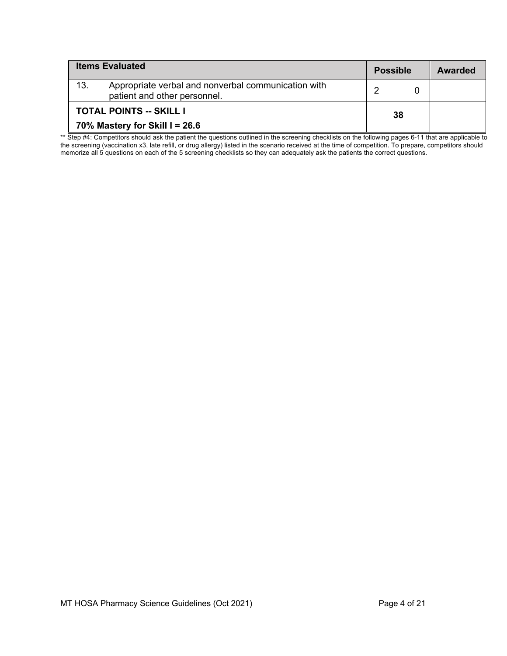| <b>Items Evaluated</b>         |                                                                                     | <b>Possible</b> |     | <b>Awarded</b> |
|--------------------------------|-------------------------------------------------------------------------------------|-----------------|-----|----------------|
| 13.                            | Appropriate verbal and nonverbal communication with<br>patient and other personnel. |                 |     |                |
| <b>TOTAL POINTS -- SKILL I</b> |                                                                                     |                 | -38 |                |
| 70% Mastery for Skill I = 26.6 |                                                                                     |                 |     |                |

\*\* Step #4: Competitors should ask the patient the questions outlined in the screening checklists on the following pages 6-11 that are applicable to the screening (vaccination x3, late refill, or drug allergy) listed in the scenario received at the time of competition. To prepare, competitors should memorize all 5 questions on each of the 5 screening checklists so they can adequately ask the patients the correct questions.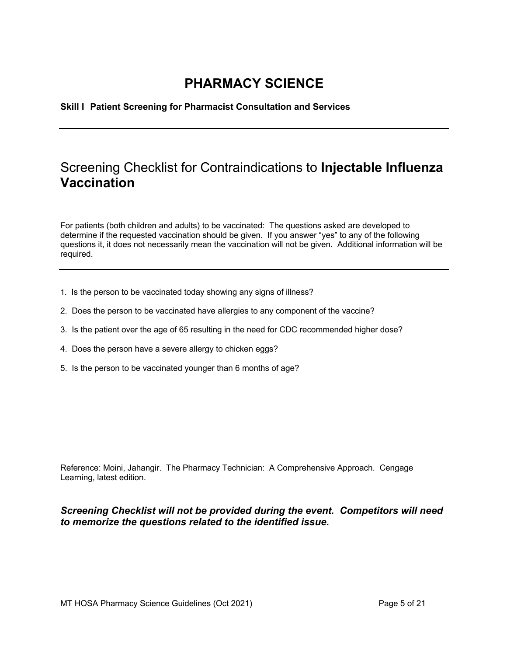**Skill I Patient Screening for Pharmacist Consultation and Services**

#### Screening Checklist for Contraindications to **Injectable Influenza Vaccination**

For patients (both children and adults) to be vaccinated: The questions asked are developed to determine if the requested vaccination should be given. If you answer "yes" to any of the following questions it, it does not necessarily mean the vaccination will not be given. Additional information will be required.

- 1. Is the person to be vaccinated today showing any signs of illness?
- 2. Does the person to be vaccinated have allergies to any component of the vaccine?
- 3. Is the patient over the age of 65 resulting in the need for CDC recommended higher dose?
- 4. Does the person have a severe allergy to chicken eggs?
- 5. Is the person to be vaccinated younger than 6 months of age?

Reference: Moini, Jahangir. The Pharmacy Technician: A Comprehensive Approach. Cengage Learning, latest edition.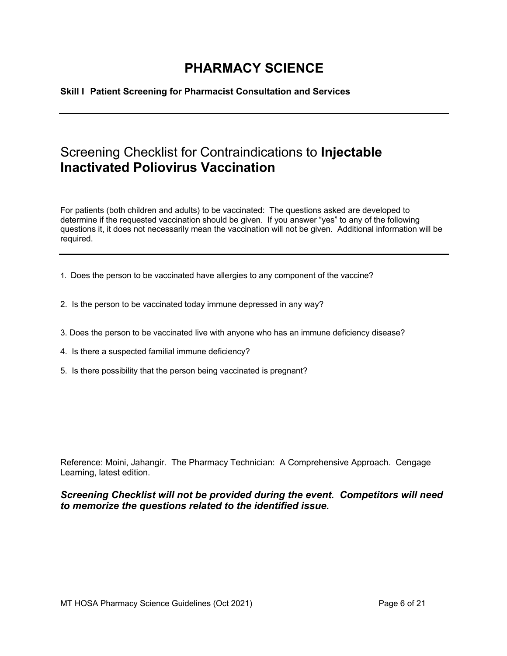**Skill I Patient Screening for Pharmacist Consultation and Services**

### Screening Checklist for Contraindications to **Injectable Inactivated Poliovirus Vaccination**

For patients (both children and adults) to be vaccinated: The questions asked are developed to determine if the requested vaccination should be given. If you answer "yes" to any of the following questions it, it does not necessarily mean the vaccination will not be given. Additional information will be required.

- 1. Does the person to be vaccinated have allergies to any component of the vaccine?
- 2. Is the person to be vaccinated today immune depressed in any way?
- 3. Does the person to be vaccinated live with anyone who has an immune deficiency disease?
- 4. Is there a suspected familial immune deficiency?
- 5. Is there possibility that the person being vaccinated is pregnant?

Reference: Moini, Jahangir. The Pharmacy Technician: A Comprehensive Approach. Cengage Learning, latest edition.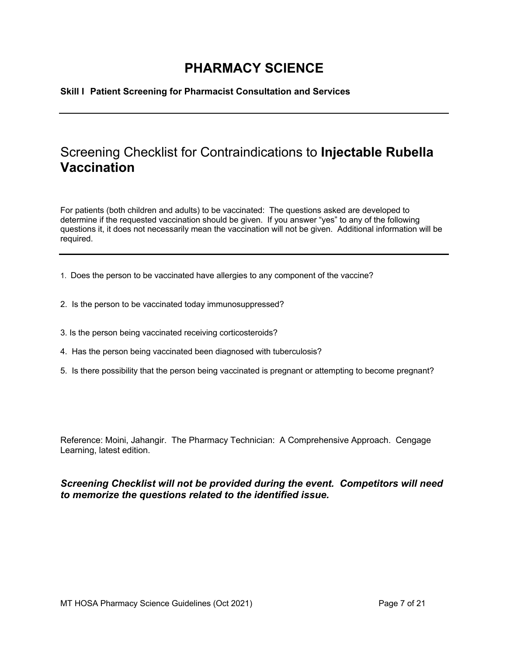**Skill I Patient Screening for Pharmacist Consultation and Services**

### Screening Checklist for Contraindications to **Injectable Rubella Vaccination**

For patients (both children and adults) to be vaccinated: The questions asked are developed to determine if the requested vaccination should be given. If you answer "yes" to any of the following questions it, it does not necessarily mean the vaccination will not be given. Additional information will be required.

I

- 1. Does the person to be vaccinated have allergies to any component of the vaccine?
- 2. Is the person to be vaccinated today immunosuppressed?
- 3. Is the person being vaccinated receiving corticosteroids?
- 4. Has the person being vaccinated been diagnosed with tuberculosis?
- 5. Is there possibility that the person being vaccinated is pregnant or attempting to become pregnant?

Reference: Moini, Jahangir. The Pharmacy Technician: A Comprehensive Approach. Cengage Learning, latest edition.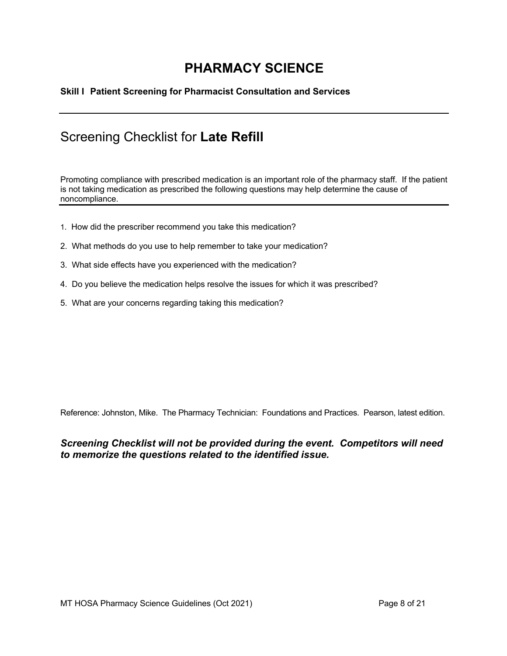#### **Skill I Patient Screening for Pharmacist Consultation and Services**

### Screening Checklist for **Late Refill**

Promoting compliance with prescribed medication is an important role of the pharmacy staff. If the patient is not taking medication as prescribed the following questions may help determine the cause of noncompliance.

I

- 1. How did the prescriber recommend you take this medication?
- 2. What methods do you use to help remember to take your medication?
- 3. What side effects have you experienced with the medication?
- 4. Do you believe the medication helps resolve the issues for which it was prescribed?
- 5. What are your concerns regarding taking this medication?

Reference: Johnston, Mike. The Pharmacy Technician: Foundations and Practices. Pearson, latest edition.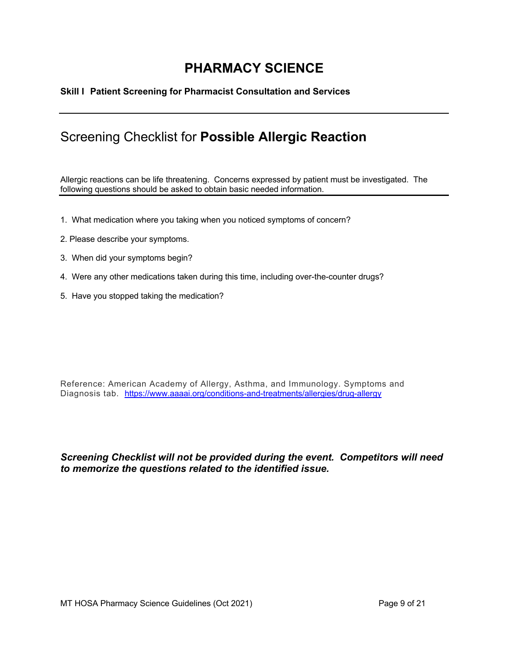#### **Skill I Patient Screening for Pharmacist Consultation and Services**

### Screening Checklist for **Possible Allergic Reaction**

Allergic reactions can be life threatening. Concerns expressed by patient must be investigated. The following questions should be asked to obtain basic needed information.

- 1. What medication where you taking when you noticed symptoms of concern?
- 2. Please describe your symptoms.
- 3. When did your symptoms begin?
- 4. Were any other medications taken during this time, including over-the-counter drugs?
- 5. Have you stopped taking the medication?

Reference: American Academy of Allergy, Asthma, and Immunology. Symptoms and Diagnosis tab. https://www.aaaai.org/conditions-and-treatments/allergies/drug-allergy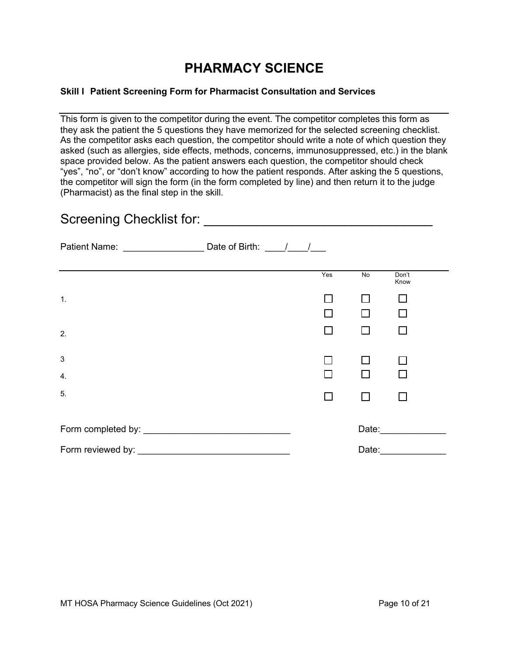#### **Skill I Patient Screening Form for Pharmacist Consultation and Services**

This form is given to the competitor during the event. The competitor completes this form as they ask the patient the 5 questions they have memorized for the selected screening checklist. As the competitor asks each question, the competitor should write a note of which question they asked (such as allergies, side effects, methods, concerns, immunosuppressed, etc.) in the blank space provided below. As the patient answers each question, the competitor should check "yes", "no", or "don't know" according to how the patient responds. After asking the 5 questions, the competitor will sign the form (in the form completed by line) and then return it to the judge (Pharmacist) as the final step in the skill.

| Screening Checklist for: Screening Checklist for: |  |     |                |                                                                                                                |  |  |
|---------------------------------------------------|--|-----|----------------|----------------------------------------------------------------------------------------------------------------|--|--|
|                                                   |  |     |                |                                                                                                                |  |  |
|                                                   |  | Yes | $\overline{N}$ | Don't<br>Know                                                                                                  |  |  |
| 1.                                                |  |     |                |                                                                                                                |  |  |
|                                                   |  |     | $\mathsf{L}$   |                                                                                                                |  |  |
| 2.                                                |  | П   | П              | П                                                                                                              |  |  |
| $\sqrt{3}$                                        |  |     | П              |                                                                                                                |  |  |
| $\mathbf 4$ .                                     |  |     | П              |                                                                                                                |  |  |
| 5.                                                |  |     | П              |                                                                                                                |  |  |
|                                                   |  |     |                | Date: and the state of the state of the state of the state of the state of the state of the state of the state |  |  |
| Form reviewed by:                                 |  |     | Date:          |                                                                                                                |  |  |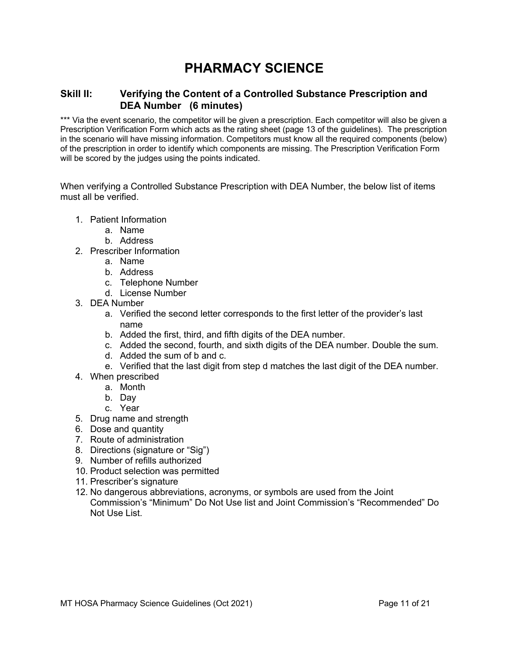#### **Skill II: Verifying the Content of a Controlled Substance Prescription and DEA Number (6 minutes)**

\*\*\* Via the event scenario, the competitor will be given a prescription. Each competitor will also be given a Prescription Verification Form which acts as the rating sheet (page 13 of the guidelines). The prescription in the scenario will have missing information. Competitors must know all the required components (below) of the prescription in order to identify which components are missing. The Prescription Verification Form will be scored by the judges using the points indicated.

When verifying a Controlled Substance Prescription with DEA Number, the below list of items must all be verified.

- 1. Patient Information
	- a. Name
	- b. Address
- 2. Prescriber Information
	- a. Name
	- b. Address
	- c. Telephone Number
	- d. License Number
- 3. DEA Number
	- a. Verified the second letter corresponds to the first letter of the provider's last name
	- b. Added the first, third, and fifth digits of the DEA number.
	- c. Added the second, fourth, and sixth digits of the DEA number. Double the sum.
	- d. Added the sum of b and c.
	- e. Verified that the last digit from step d matches the last digit of the DEA number.
- 4. When prescribed
	- a. Month
	- b. Day
	- c. Year
- 5. Drug name and strength
- 6. Dose and quantity
- 7. Route of administration
- 8. Directions (signature or "Sig")
- 9. Number of refills authorized
- 10. Product selection was permitted
- 11. Prescriber's signature
- 12. No dangerous abbreviations, acronyms, or symbols are used from the Joint Commission's "Minimum" Do Not Use list and Joint Commission's "Recommended" Do Not Use List.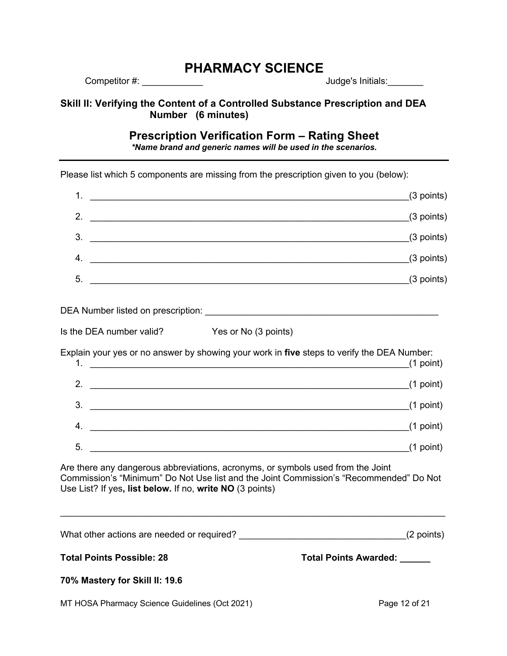Competitor #: \_\_\_\_\_\_\_\_\_\_\_\_ Judge's Initials:\_\_\_\_\_\_\_

**Skill II: Verifying the Content of a Controlled Substance Prescription and DEA Number (6 minutes)**

#### **Prescription Verification Form – Rating Sheet**

*\*Name brand and generic names will be used in the scenarios.*

Please list which 5 components are missing from the prescription given to you (below):

| $\overline{1}$ . | $(3$ points) |
|------------------|--------------|
| 2.               | $(3$ points) |
| 3.               | $(3$ points) |
| 4.               | $(3$ points) |
| -5.              | $(3$ points) |

DEA Number listed on prescription: **DEA Number listed** on prescription:

| Is the DEA number valid? | Yes or No (3 points) |  |
|--------------------------|----------------------|--|

Explain your yes or no answer by showing your work in **five** steps to verify the DEA Number:

|                | $(1$ point) |
|----------------|-------------|
| $\overline{2}$ | $(1$ point) |
| 3 <sub>o</sub> | $(1$ point) |
| -4.            | $(1$ point) |
| 5.             | $(1$ point) |

Are there any dangerous abbreviations, acronyms, or symbols used from the Joint Commission's "Minimum" Do Not Use list and the Joint Commission's "Recommended" Do Not Use List? If yes**, list below.** If no, **write NO** (3 points)

| What other actions are needed or required? |  | (2 points) |
|--------------------------------------------|--|------------|
|--------------------------------------------|--|------------|

 $\_$ 

Total Points Possible: 28 Total Points Awarded: Letter Awarded:

MT HOSA Pharmacy Science Guidelines (Oct 2021) The Contract Contract Page 12 of 21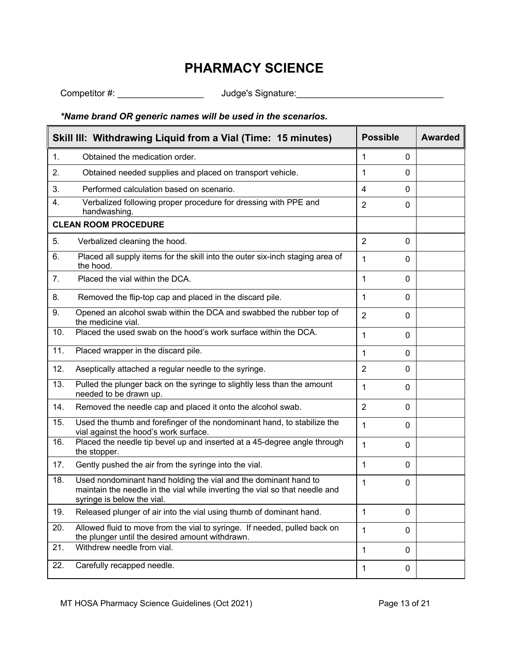Competitor #: \_\_\_\_\_\_\_\_\_\_\_\_\_\_\_\_\_ Judge's Signature:\_\_\_\_\_\_\_\_\_\_\_\_\_\_\_\_\_\_\_\_\_\_\_\_\_\_\_\_\_

#### *\*Name brand OR generic names will be used in the scenarios.*

|     | Skill III: Withdrawing Liquid from a Vial (Time: 15 minutes)                                                                                                                 | <b>Possible</b>                | <b>Awarded</b> |
|-----|------------------------------------------------------------------------------------------------------------------------------------------------------------------------------|--------------------------------|----------------|
| 1.  | Obtained the medication order.                                                                                                                                               | 1<br>$\mathbf{0}$              |                |
| 2.  | Obtained needed supplies and placed on transport vehicle.                                                                                                                    | 1<br>$\mathbf{0}$              |                |
| 3.  | Performed calculation based on scenario.                                                                                                                                     | 4<br>$\mathbf{0}$              |                |
| 4.  | Verbalized following proper procedure for dressing with PPE and<br>handwashing.                                                                                              | $\overline{2}$<br>0            |                |
|     | <b>CLEAN ROOM PROCEDURE</b>                                                                                                                                                  |                                |                |
| 5.  | Verbalized cleaning the hood.                                                                                                                                                | 2<br>$\mathbf{0}$              |                |
| 6.  | Placed all supply items for the skill into the outer six-inch staging area of<br>the hood.                                                                                   | 1<br>$\mathbf{0}$              |                |
| 7.  | Placed the vial within the DCA.                                                                                                                                              | 1<br>$\mathbf{0}$              |                |
| 8.  | Removed the flip-top cap and placed in the discard pile.                                                                                                                     | 1<br>0                         |                |
| 9.  | Opened an alcohol swab within the DCA and swabbed the rubber top of<br>the medicine vial.                                                                                    | $\overline{2}$<br>$\mathbf 0$  |                |
| 10. | Placed the used swab on the hood's work surface within the DCA.                                                                                                              | 1<br>$\mathbf 0$               |                |
| 11. | Placed wrapper in the discard pile.                                                                                                                                          | 1<br>$\mathbf{0}$              |                |
| 12. | Aseptically attached a regular needle to the syringe.                                                                                                                        | $\overline{2}$<br>0            |                |
| 13. | Pulled the plunger back on the syringe to slightly less than the amount<br>needed to be drawn up.                                                                            | 1<br>$\mathbf{0}$              |                |
| 14. | Removed the needle cap and placed it onto the alcohol swab.                                                                                                                  | $\overline{2}$<br>$\mathbf{0}$ |                |
| 15. | Used the thumb and forefinger of the nondominant hand, to stabilize the<br>vial against the hood's work surface.                                                             | $\mathbf{1}$<br>$\mathbf{0}$   |                |
| 16. | Placed the needle tip bevel up and inserted at a 45-degree angle through<br>the stopper.                                                                                     | $\mathbf{1}$<br>$\mathbf 0$    |                |
| 17. | Gently pushed the air from the syringe into the vial.                                                                                                                        | 1<br>$\mathbf 0$               |                |
| 18. | Used nondominant hand holding the vial and the dominant hand to<br>maintain the needle in the vial while inverting the vial so that needle and<br>syringe is below the vial. | $\mathbf 0$<br>1               |                |
| 19. | Released plunger of air into the vial using thumb of dominant hand.                                                                                                          | 1<br>$\mathbf{0}$              |                |
| 20. | Allowed fluid to move from the vial to syringe. If needed, pulled back on<br>the plunger until the desired amount withdrawn.                                                 | 1<br>$\mathbf{0}$              |                |
| 21. | Withdrew needle from vial.                                                                                                                                                   | 1<br>$\mathbf 0$               |                |
| 22. | Carefully recapped needle.                                                                                                                                                   | 1<br>0                         |                |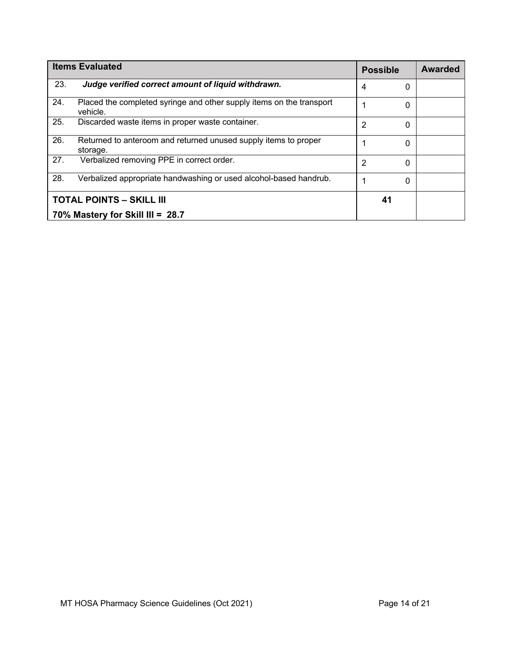|     | <b>Items Evaluated</b>                                                           | <b>Possible</b> |    | <b>Awarded</b> |
|-----|----------------------------------------------------------------------------------|-----------------|----|----------------|
| 23. | Judge verified correct amount of liquid withdrawn.                               | 4               | 0  |                |
| 24. | Placed the completed syringe and other supply items on the transport<br>vehicle. |                 | 0  |                |
| 25. | Discarded waste items in proper waste container.                                 | 2               | 0  |                |
| 26. | Returned to anteroom and returned unused supply items to proper<br>storage.      |                 | 0  |                |
| 27. | Verbalized removing PPE in correct order.                                        | 2               | 0  |                |
| 28. | Verbalized appropriate handwashing or used alcohol-based handrub.                |                 | 0  |                |
|     | <b>TOTAL POINTS - SKILL III</b>                                                  |                 | 41 |                |
|     | 70% Mastery for Skill III = 28.7                                                 |                 |    |                |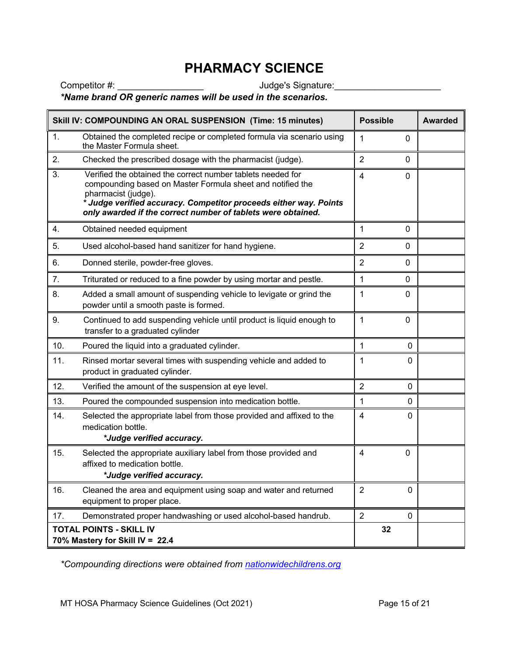Competitor #: \_\_\_\_\_\_\_\_\_\_\_\_\_\_\_\_\_ Judge's Signature:\_\_\_\_\_\_\_\_\_\_\_\_\_\_\_\_\_\_\_\_\_

#### *\*Name brand OR generic names will be used in the scenarios.*

|     | Skill IV: COMPOUNDING AN ORAL SUSPENSION (Time: 15 minutes)                                                                                                                                                                                                                           | <b>Possible</b> |              | <b>Awarded</b> |
|-----|---------------------------------------------------------------------------------------------------------------------------------------------------------------------------------------------------------------------------------------------------------------------------------------|-----------------|--------------|----------------|
| 1.  | Obtained the completed recipe or completed formula via scenario using<br>the Master Formula sheet.                                                                                                                                                                                    | 1               | $\mathbf{0}$ |                |
| 2.  | Checked the prescribed dosage with the pharmacist (judge).                                                                                                                                                                                                                            | $\overline{2}$  | $\mathbf 0$  |                |
| 3.  | Verified the obtained the correct number tablets needed for<br>compounding based on Master Formula sheet and notified the<br>pharmacist (judge).<br>* Judge verified accuracy. Competitor proceeds either way. Points<br>only awarded if the correct number of tablets were obtained. | $\overline{4}$  | $\mathbf 0$  |                |
| 4.  | Obtained needed equipment                                                                                                                                                                                                                                                             | 1               | $\mathbf 0$  |                |
| 5.  | Used alcohol-based hand sanitizer for hand hygiene.                                                                                                                                                                                                                                   | $\overline{2}$  | 0            |                |
| 6.  | Donned sterile, powder-free gloves.                                                                                                                                                                                                                                                   | 2               | 0            |                |
| 7.  | Triturated or reduced to a fine powder by using mortar and pestle.                                                                                                                                                                                                                    | 1               | $\mathbf 0$  |                |
| 8.  | Added a small amount of suspending vehicle to levigate or grind the<br>powder until a smooth paste is formed.                                                                                                                                                                         | 1               | 0            |                |
| 9.  | Continued to add suspending vehicle until product is liquid enough to<br>transfer to a graduated cylinder                                                                                                                                                                             | 1               | $\mathbf 0$  |                |
| 10. | Poured the liquid into a graduated cylinder.                                                                                                                                                                                                                                          | 1               | $\mathbf{0}$ |                |
| 11. | Rinsed mortar several times with suspending vehicle and added to<br>product in graduated cylinder.                                                                                                                                                                                    | 1               | $\mathbf{0}$ |                |
| 12. | Verified the amount of the suspension at eye level.                                                                                                                                                                                                                                   | $\overline{2}$  | 0            |                |
| 13. | Poured the compounded suspension into medication bottle.                                                                                                                                                                                                                              | 1               | $\mathbf{0}$ |                |
| 14. | Selected the appropriate label from those provided and affixed to the<br>medication bottle.<br>*Judge verified accuracy.                                                                                                                                                              | 4               | $\mathbf{0}$ |                |
| 15. | Selected the appropriate auxiliary label from those provided and<br>affixed to medication bottle.<br>*Judge verified accuracy.                                                                                                                                                        | 4               | $\mathbf 0$  |                |
| 16. | Cleaned the area and equipment using soap and water and returned<br>equipment to proper place.                                                                                                                                                                                        | $\overline{2}$  | $\mathbf{0}$ |                |
| 17. | Demonstrated proper handwashing or used alcohol-based handrub.                                                                                                                                                                                                                        | $\overline{2}$  | $\mathbf 0$  |                |
|     | <b>TOTAL POINTS - SKILL IV</b><br>70% Mastery for Skill IV = 22.4                                                                                                                                                                                                                     | 32              |              |                |

*\*Compounding directions were obtained from nationwidechildrens.org*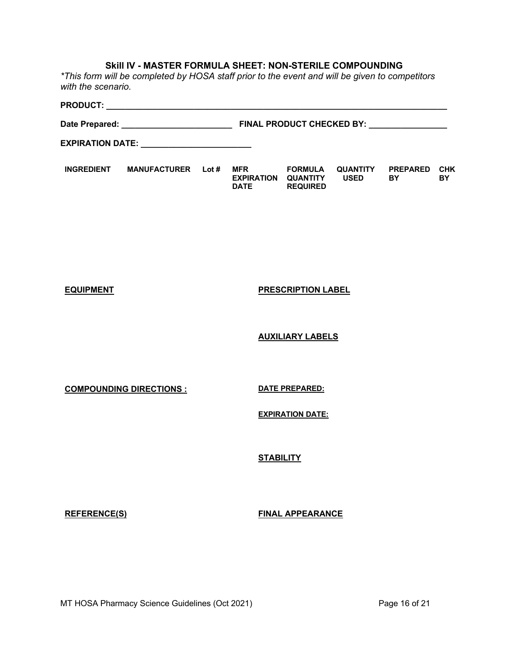#### **Skill IV - MASTER FORMULA SHEET: NON-STERILE COMPOUNDING**

*\*This form will be completed by HOSA staff prior to the event and will be given to competitors with the scenario.* 

#### **PRODUCT: \_\_\_\_\_\_\_\_\_\_\_\_\_\_\_\_\_\_\_\_\_\_\_\_\_\_\_\_\_\_\_\_\_\_\_\_\_\_\_\_\_\_\_\_\_\_\_\_\_\_\_\_\_\_\_\_\_\_\_\_\_\_\_\_\_\_\_\_\_\_\_\_\_\_ Date Prepared: \_\_\_\_\_\_\_\_\_\_\_\_\_\_\_\_\_\_\_\_\_\_\_\_ FINAL PRODUCT CHECKED BY: \_\_\_\_\_\_\_\_\_\_\_\_\_\_\_\_\_ EXPIRATION DATE: \_\_\_\_\_\_\_\_\_\_\_\_\_\_\_\_\_\_\_\_\_\_\_\_ INGREDIENT MANUFACTURER Lot # MFR EXPIRATION DATE REQUIRED FORMULA QUANTITY QUANTITY USED PREPARED BY CHK BY**

**EQUIPMENT PRESCRIPTION LABEL**

**AUXILIARY LABELS**

**COMPOUNDING DIRECTIONS : DATE PREPARED:** 

**EXPIRATION DATE:**

**STABILITY**

**REFERENCE(S) FINAL APPEARANCE**

MT HOSA Pharmacy Science Guidelines (Oct 2021) **Page 16 of 21** Page 16 of 21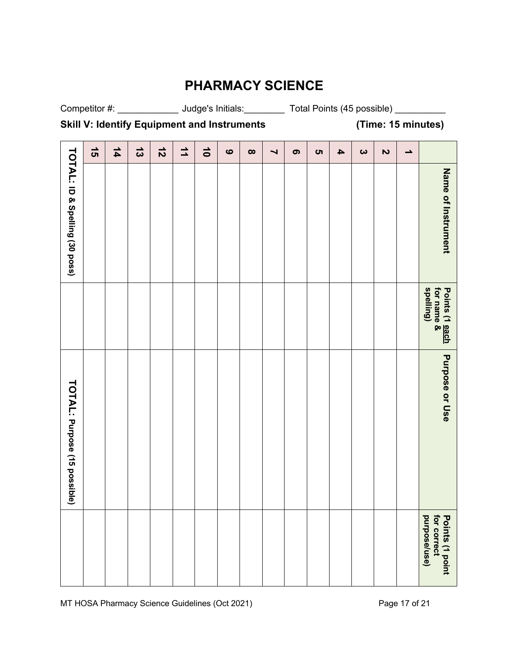Competitor #: \_\_\_\_\_\_\_\_\_\_\_\_\_\_\_\_\_ Judge's Initials: \_\_\_\_\_\_\_\_\_\_\_ Total Points (45 possible) \_\_\_\_\_\_\_\_\_\_

**Skill V: Identify Equipment and Instruments (Time: 15 minutes)**

| $\overline{5}$<br>$\vec{3}$<br>$\vec{z}$<br>$\overline{1}$<br>$\frac{1}{4}$ |  |  | $\vec{0}$ | $\bullet$ | $\infty$ | $\blacktriangleright$ | $\bullet$ | <b>ທ</b> | $\blacktriangle$ | $\boldsymbol{\omega}$ | $\overline{\mathbf{c}}$ | ∸ |                                                  |
|-----------------------------------------------------------------------------|--|--|-----------|-----------|----------|-----------------------|-----------|----------|------------------|-----------------------|-------------------------|---|--------------------------------------------------|
|                                                                             |  |  |           |           |          |                       |           |          |                  |                       |                         |   | Name of Instrument                               |
|                                                                             |  |  |           |           |          |                       |           |          |                  |                       |                         |   | spelling)<br>Points (1 <u>each</u><br>for name & |
|                                                                             |  |  |           |           |          |                       |           |          |                  |                       |                         |   | Purpose or Use                                   |
|                                                                             |  |  |           |           |          |                       |           |          |                  |                       |                         |   | purpose/use)<br>for correct<br>Points (1 point   |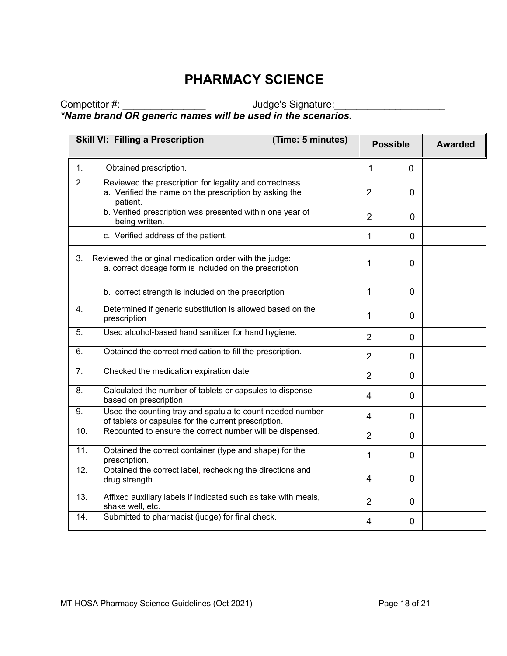Competitor #: \_\_\_\_\_\_\_\_\_\_\_\_\_\_\_ Judge's Signature:\_\_\_\_\_\_\_\_\_\_\_\_\_\_\_\_\_\_\_\_ *\*Name brand OR generic names will be used in the scenarios.*

|     | <b>Skill VI: Filling a Prescription</b><br>(Time: 5 minutes)                                                                  |                | <b>Possible</b> | <b>Awarded</b> |
|-----|-------------------------------------------------------------------------------------------------------------------------------|----------------|-----------------|----------------|
| 1.  | Obtained prescription.                                                                                                        | $\mathbf{1}$   | $\overline{0}$  |                |
| 2.  | Reviewed the prescription for legality and correctness.<br>a. Verified the name on the prescription by asking the<br>patient. | $\overline{2}$ | 0               |                |
|     | b. Verified prescription was presented within one year of<br>being written.                                                   | $\overline{2}$ | $\overline{0}$  |                |
|     | c. Verified address of the patient.                                                                                           | 1              | $\mathbf 0$     |                |
| 3.  | Reviewed the original medication order with the judge:<br>a. correct dosage form is included on the prescription              | 1              | $\overline{0}$  |                |
|     | b. correct strength is included on the prescription                                                                           | 1              | $\mathbf 0$     |                |
| 4.  | Determined if generic substitution is allowed based on the<br>prescription                                                    | 1              | $\overline{0}$  |                |
| 5.  | Used alcohol-based hand sanitizer for hand hygiene.                                                                           | $\overline{2}$ | $\mathbf 0$     |                |
| 6.  | Obtained the correct medication to fill the prescription.                                                                     | $\overline{2}$ | $\mathbf{0}$    |                |
| 7.  | Checked the medication expiration date                                                                                        | $\overline{2}$ | $\overline{0}$  |                |
| 8.  | Calculated the number of tablets or capsules to dispense<br>based on prescription.                                            | $\overline{4}$ | $\mathbf{0}$    |                |
| 9.  | Used the counting tray and spatula to count needed number<br>of tablets or capsules for the current prescription.             | $\overline{4}$ | $\mathbf 0$     |                |
| 10. | Recounted to ensure the correct number will be dispensed.                                                                     | $\overline{2}$ | $\mathbf{0}$    |                |
| 11. | Obtained the correct container (type and shape) for the<br>prescription.                                                      | 1              | $\overline{0}$  |                |
| 12. | Obtained the correct label, rechecking the directions and<br>drug strength.                                                   | $\overline{4}$ | $\overline{0}$  |                |
| 13. | Affixed auxiliary labels if indicated such as take with meals,<br>shake well, etc.                                            | $\overline{2}$ | $\overline{0}$  |                |
| 14. | Submitted to pharmacist (judge) for final check.                                                                              | 4              | $\mathbf 0$     |                |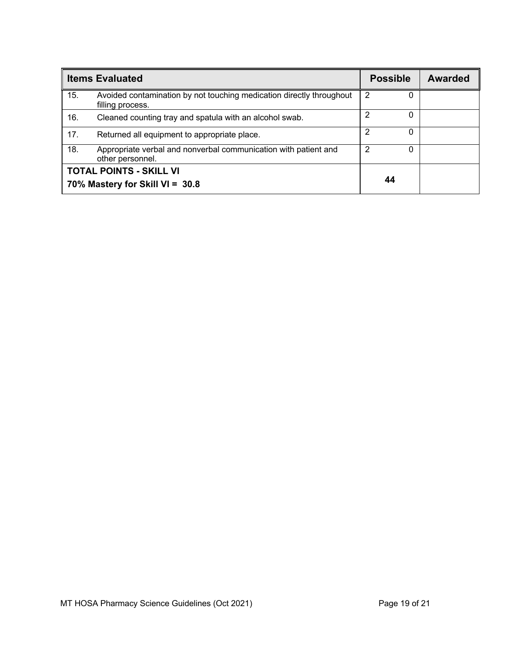|     | <b>Items Evaluated</b>                                                                   | <b>Possible</b>   | Awarded |
|-----|------------------------------------------------------------------------------------------|-------------------|---------|
| 15. | Avoided contamination by not touching medication directly throughout<br>filling process. | 2<br>O            |         |
| 16. | Cleaned counting tray and spatula with an alcohol swab.                                  | 2<br>0            |         |
| 17. | Returned all equipment to appropriate place.                                             | 2<br>0            |         |
| 18. | Appropriate verbal and nonverbal communication with patient and<br>other personnel.      | 2<br><sup>0</sup> |         |
|     | <b>TOTAL POINTS - SKILL VI</b><br>70% Mastery for Skill VI = 30.8                        | 44                |         |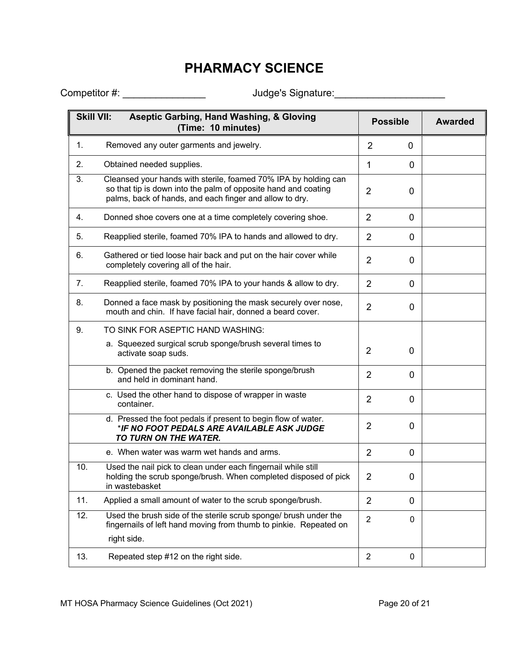Competitor #: \_\_\_\_\_\_\_\_\_\_\_\_\_\_\_ Judge's Signature:\_\_\_\_\_\_\_\_\_\_\_\_\_\_\_\_\_\_\_\_

| <b>Skill VII:</b> | <b>Aseptic Garbing, Hand Washing, &amp; Gloving</b><br>(Time: 10 minutes)                                                                                                                    | <b>Possible</b>                | <b>Awarded</b> |
|-------------------|----------------------------------------------------------------------------------------------------------------------------------------------------------------------------------------------|--------------------------------|----------------|
| 1.                | Removed any outer garments and jewelry.                                                                                                                                                      | $\overline{2}$<br>$\mathbf 0$  |                |
| 2.                | Obtained needed supplies.                                                                                                                                                                    | 1<br>0                         |                |
| 3.                | Cleansed your hands with sterile, foamed 70% IPA by holding can<br>so that tip is down into the palm of opposite hand and coating<br>palms, back of hands, and each finger and allow to dry. | $\overline{2}$<br>0            |                |
| 4.                | Donned shoe covers one at a time completely covering shoe.                                                                                                                                   | $\overline{2}$<br>0            |                |
| 5.                | Reapplied sterile, foamed 70% IPA to hands and allowed to dry.                                                                                                                               | 2<br>0                         |                |
| 6.                | Gathered or tied loose hair back and put on the hair cover while<br>completely covering all of the hair.                                                                                     | $\overline{2}$<br>0            |                |
| 7.                | Reapplied sterile, foamed 70% IPA to your hands & allow to dry.                                                                                                                              | $\overline{2}$<br>0            |                |
| 8.                | Donned a face mask by positioning the mask securely over nose,<br>mouth and chin. If have facial hair, donned a beard cover.                                                                 | $\overline{2}$<br>0            |                |
| 9.                | TO SINK FOR ASEPTIC HAND WASHING:                                                                                                                                                            |                                |                |
|                   | a. Squeezed surgical scrub sponge/brush several times to<br>activate soap suds.                                                                                                              | $\overline{2}$<br>0            |                |
|                   | b. Opened the packet removing the sterile sponge/brush<br>and held in dominant hand.                                                                                                         | $\overline{2}$<br>0            |                |
|                   | c. Used the other hand to dispose of wrapper in waste<br>container.                                                                                                                          | $\overline{2}$<br>0            |                |
|                   | d. Pressed the foot pedals if present to begin flow of water.<br>*IF NO FOOT PEDALS ARE AVAILABLE ASK JUDGE<br>TO TURN ON THE WATER.                                                         | $\overline{2}$<br>0            |                |
|                   | e. When water was warm wet hands and arms.                                                                                                                                                   | $\overline{2}$<br>0            |                |
| 10.               | Used the nail pick to clean under each fingernail while still<br>holding the scrub sponge/brush. When completed disposed of pick<br>in wastebasket                                           | $\overline{2}$<br>0            |                |
| 11.               | Applied a small amount of water to the scrub sponge/brush.                                                                                                                                   | 2<br>0                         |                |
| 12.               | Used the brush side of the sterile scrub sponge/ brush under the<br>fingernails of left hand moving from thumb to pinkie. Repeated on                                                        | $\overline{2}$<br>$\mathbf{0}$ |                |
|                   | right side.                                                                                                                                                                                  |                                |                |
| 13.               | Repeated step #12 on the right side.                                                                                                                                                         | $\overline{2}$<br>0            |                |